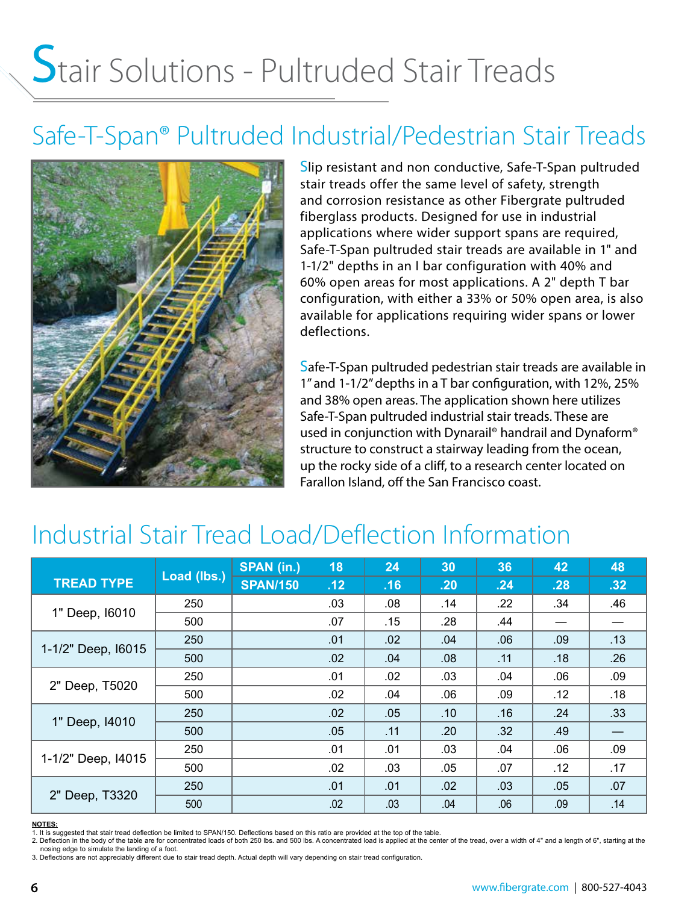# Stair Solutions - Pultruded Stair Treads

## Safe-T-Span® Pultruded Industrial/Pedestrian Stair Treads



Slip resistant and non conductive, Safe-T-Span pultruded stair treads offer the same level of safety, strength and corrosion resistance as other Fibergrate pultruded fiberglass products. Designed for use in industrial applications where wider support spans are required, Safe-T-Span pultruded stair treads are available in 1" and 1-1/2" depths in an I bar configuration with 40% and 60% open areas for most applications. A 2" depth T bar configuration, with either a 33% or 50% open area, is also available for applications requiring wider spans or lower deflections.

Safe-T-Span pultruded pedestrian stair treads are available in 1" and 1-1/2" depths in a T bar configuration, with 12%, 25% and 38% open areas. The application shown here utilizes Safe-T-Span pultruded industrial stair treads. These are used in conjunction with Dynarail® handrail and Dynaform® structure to construct a stairway leading from the ocean, up the rocky side of a cliff, to a research center located on Farallon Island, off the San Francisco coast.

## Industrial Stair Tread Load/Deflection Information

|                    | Load (lbs.) | <b>SPAN (in.)</b> | 18  | 24  | 30  | 36  | 42  | 48               |
|--------------------|-------------|-------------------|-----|-----|-----|-----|-----|------------------|
| <b>TREAD TYPE</b>  |             | <b>SPAN/150</b>   | .12 | .16 | .20 | .24 | .28 | .32              |
| 1" Deep, 16010     | 250         |                   | .03 | .08 | .14 | .22 | .34 | .46              |
|                    | 500         |                   | .07 | .15 | .28 | .44 |     |                  |
| 1-1/2" Deep, 16015 | 250         |                   | .01 | .02 | .04 | .06 | .09 | .13              |
|                    | 500         |                   | .02 | .04 | .08 | .11 | .18 | .26              |
| 2" Deep, T5020     | 250         |                   | .01 | .02 | .03 | .04 | .06 | .09              |
|                    | 500         |                   | .02 | .04 | .06 | .09 | .12 | .18              |
| 1" Deep, 14010     | 250         |                   | .02 | .05 | .10 | .16 | .24 | .33 <sub>0</sub> |
|                    | 500         |                   | .05 | .11 | .20 | .32 | .49 |                  |
| 1-1/2" Deep, I4015 | 250         |                   | .01 | .01 | .03 | .04 | .06 | .09              |
|                    | 500         |                   | .02 | .03 | .05 | .07 | .12 | .17              |
| 2" Deep, T3320     | 250         |                   | .01 | .01 | .02 | .03 | .05 | .07              |
|                    | 500         |                   | .02 | .03 | .04 | .06 | .09 | .14              |

#### **NOTES:**

1. It is suggested that stair tread deflection be limited to SPAN/150. Deflections based on this ratio are provided at the top of the table.<br>2. Deflection in the body of the table are for concentrated loads of both 250 lbs nosing edge to simulate the landing of a foot.

3. Deflections are not appreciably different due to stair tread depth. Actual depth will vary depending on stair tread configuration.